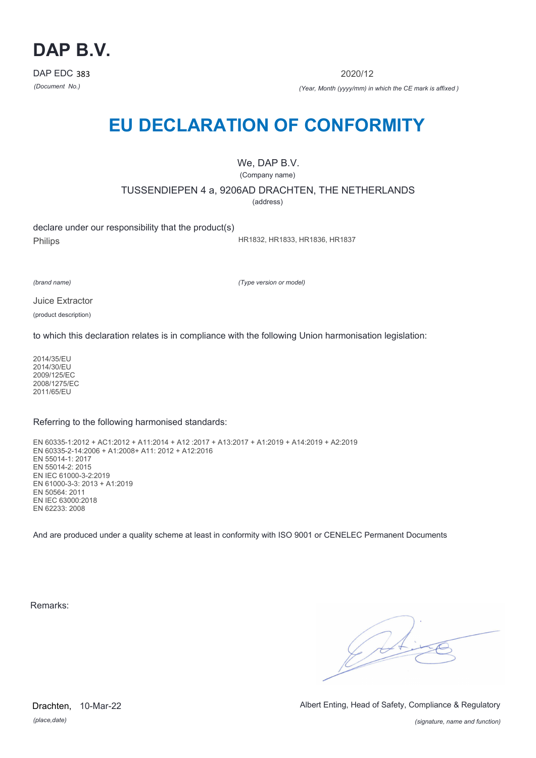

2020/12

*(Document No.) (Year, Month (yyyy/mm) in which the CE mark is affixed )*

# **EU DECLARATION OF CONFORMITY**

We, DAP B.V. (Company name)

TUSSENDIEPEN 4 a, 9206AD DRACHTEN, THE NETHERLANDS

(address)

declare under our responsibility that the product(s) Philips

HR1832, HR1833, HR1836, HR1837

*(brand name)*

*(Type version or model)*

Juice Extractor

(product description)

to which this declaration relates is in compliance with the following Union harmonisation legislation:

2014/35/EU 2014/30/EU 2009/125/EC 2008/1275/EC 2011/65/EU

### Referring to the following harmonised standards:

EN 60335-1:2012 + AC1:2012 + A11:2014 + A12 :2017 + A13:2017 + A1:2019 + A14:2019 + A2:2019 EN 60335-2-14:2006 + A1:2008+ A11: 2012 + A12:2016 EN 55014-1: 2017 EN 55014-2: 2015 EN IEC 61000-3-2:2019 EN 61000-3-3: 2013 + A1:2019 EN 50564: 2011 EN IEC 63000:2018 EN 62233: 2008

And are produced under a quality scheme at least in conformity with ISO 9001 or CENELEC Permanent Documents

Remarks:

 $\sqrt{1}$ 

*(place,date)* 10-Mar-22

Drachten, 10-Mar-22 **Exercise 20 and Solution 20 and Albert Enting, Head of Safety, Compliance & Regulatory**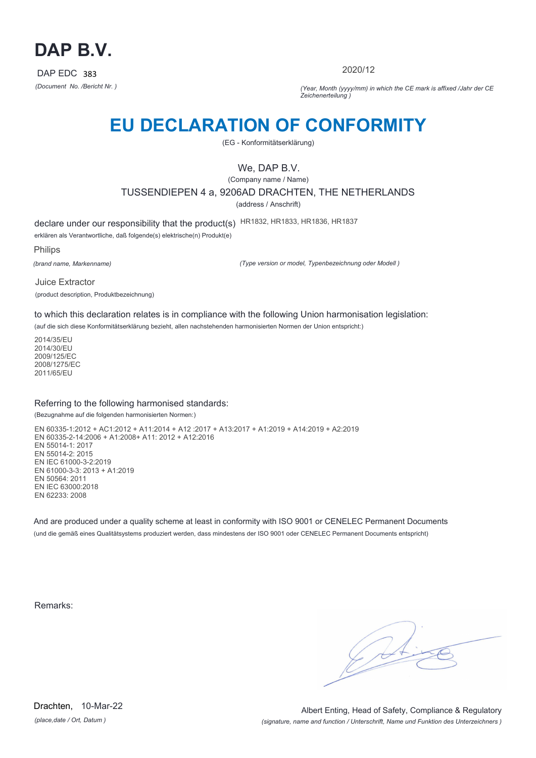

2020/12

*(Document No. /Bericht Nr. ) (Year, Month (yyyy/mm) in which the CE mark is affixed /Jahr der CE Zeichenerteilung )*

# **EU DECLARATION OF CONFORMITY**

(EG - Konformitätserklärung)

## We, DAP B.V.

(Company name / Name) TUSSENDIEPEN 4 a, 9206AD DRACHTEN, THE NETHERLANDS (address / Anschrift)

declare under our responsibility that the product(s) HR1832, HR1833, HR1836, HR1837

erklären als Verantwortliche, daß folgende(s) elektrische(n) Produkt(e)

Philips

*(brand name, Markenname)*

*(Type version or model, Typenbezeichnung oder Modell )*

Juice Extractor (product description, Produktbezeichnung)

to which this declaration relates is in compliance with the following Union harmonisation legislation:

(auf die sich diese Konformitätserklärung bezieht, allen nachstehenden harmonisierten Normen der Union entspricht:)

2014/35/EU 2014/30/EU 2009/125/EC 2008/1275/EC 2011/65/EU

### Referring to the following harmonised standards:

(Bezugnahme auf die folgenden harmonisierten Normen:)

EN 60335-1:2012 + AC1:2012 + A11:2014 + A12 :2017 + A13:2017 + A1:2019 + A14:2019 + A2:2019 EN 60335-2-14:2006 + A1:2008+ A11: 2012 + A12:2016 EN 55014-1: 2017 EN 55014-2: 2015 EN IEC 61000-3-2:2019 EN 61000-3-3: 2013 + A1:2019 EN 50564: 2011 EN IEC 63000:2018 EN 62233: 2008

And are produced under a quality scheme at least in conformity with ISO 9001 or CENELEC Permanent Documents (und die gemäß eines Qualitätsystems produziert werden, dass mindestens der ISO 9001 oder CENELEC Permanent Documents entspricht)

Remarks:

*(place,date / Ort, Datum )* Drachten, 10-Mar-22

*(signature, name and function / Unterschrift, Name und Funktion des Unterzeichners )* Albert Enting, Head of Safety, Compliance & Regulatory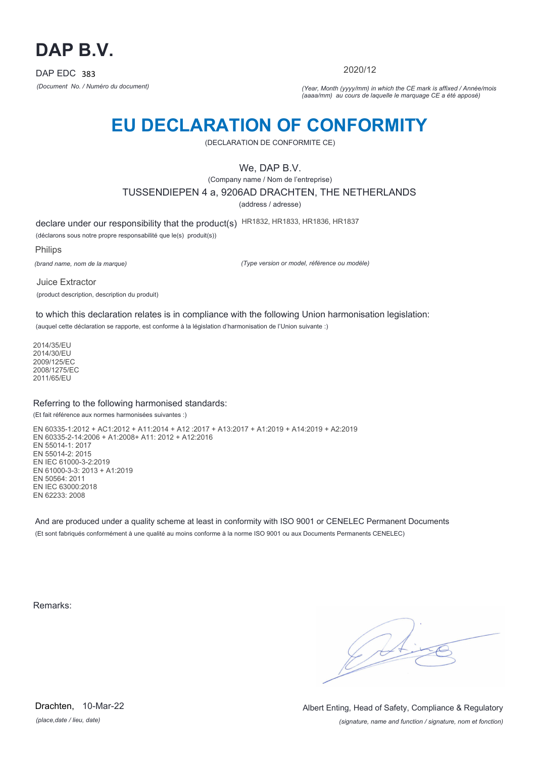

2020/12

*(Document No. / Numéro du document) (Year, Month (yyyy/mm) in which the CE mark is affixed / Année/mois (aaaa/mm) au cours de laquelle le marquage CE a été apposé)*

# **EU DECLARATION OF CONFORMITY**

(DECLARATION DE CONFORMITE CE)

## We, DAP B.V.

(Company name / Nom de l'entreprise) TUSSENDIEPEN 4 a, 9206AD DRACHTEN, THE NETHERLANDS

(address / adresse)

declare under our responsibility that the product(s) HR1832, HR1833, HR1836, HR1837

(déclarons sous notre propre responsabilité que le(s) produit(s))

Philips

*(brand name, nom de la marque)*

*(Type version or model, référence ou modèle)*

Juice Extractor (product description, description du produit)

to which this declaration relates is in compliance with the following Union harmonisation legislation: (auquel cette déclaration se rapporte, est conforme à la législation d'harmonisation de l'Union suivante :)

2014/35/EU 2014/30/EU 2009/125/EC 2008/1275/EC 2011/65/EU

### Referring to the following harmonised standards:

(Et fait référence aux normes harmonisées suivantes :)

EN 60335-1:2012 + AC1:2012 + A11:2014 + A12 :2017 + A13:2017 + A1:2019 + A14:2019 + A2:2019 EN 60335-2-14:2006 + A1:2008+ A11: 2012 + A12:2016 EN 55014-1: 2017 EN 55014-2: 2015 EN IEC 61000-3-2:2019 EN 61000-3-3: 2013 + A1:2019 EN 50564: 2011 EN IEC 63000:2018 EN 62233: 2008

And are produced under a quality scheme at least in conformity with ISO 9001 or CENELEC Permanent Documents (Et sont fabriqués conformément à une qualité au moins conforme à la norme ISO 9001 ou aux Documents Permanents CENELEC)

Remarks:

*(place,date / lieu, date)* Drachten, 10-Mar-22

*(signature, name and function / signature, nom et fonction)* Albert Enting, Head of Safety, Compliance & Regulatory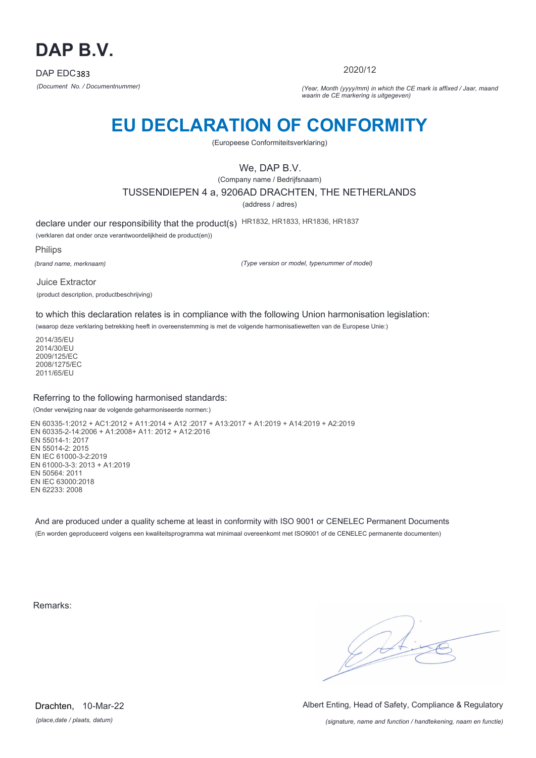

2020/12

*(Document No. / Documentnummer) (Year, Month (yyyy/mm) in which the CE mark is affixed / Jaar, maand waarin de CE markering is uitgegeven)*

# **EU DECLARATION OF CONFORMITY**

(Europeese Conformiteitsverklaring)

## We, DAP B.V.

(Company name / Bedrijfsnaam) TUSSENDIEPEN 4 a, 9206AD DRACHTEN, THE NETHERLANDS

(address / adres)

declare under our responsibility that the product(s) HR1832, HR1833, HR1836, HR1837

(verklaren dat onder onze verantwoordelijkheid de product(en))

Philips

*(brand name, merknaam)*

*(Type version or model, typenummer of model)*

Juice Extractor (product description, productbeschrijving)

to which this declaration relates is in compliance with the following Union harmonisation legislation:

(waarop deze verklaring betrekking heeft in overeenstemming is met de volgende harmonisatiewetten van de Europese Unie:)

2014/35/EU 2014/30/EU 2009/125/EC 2008/1275/EC 2011/65/EU

### Referring to the following harmonised standards:

(Onder verwijzing naar de volgende geharmoniseerde normen:)

EN 60335-1:2012 + AC1:2012 + A11:2014 + A12 :2017 + A13:2017 + A1:2019 + A14:2019 + A2:2019 EN 60335-2-14:2006 + A1:2008+ A11: 2012 + A12:2016 EN 55014-1: 2017 EN 55014-2: 2015 EN IEC 61000-3-2:2019 EN 61000-3-3: 2013 + A1:2019 EN 50564: 2011 EN IEC 63000:2018 EN 62233: 2008

And are produced under a quality scheme at least in conformity with ISO 9001 or CENELEC Permanent Documents (En worden geproduceerd volgens een kwaliteitsprogramma wat minimaal overeenkomt met ISO9001 of de CENELEC permanente documenten)

Remarks:

 $\sqrt{1}$ 

*(place,date / plaats, datum)* Drachten, 10-Mar-22 Albert Enting, Head of Safety, Compliance & Regulatory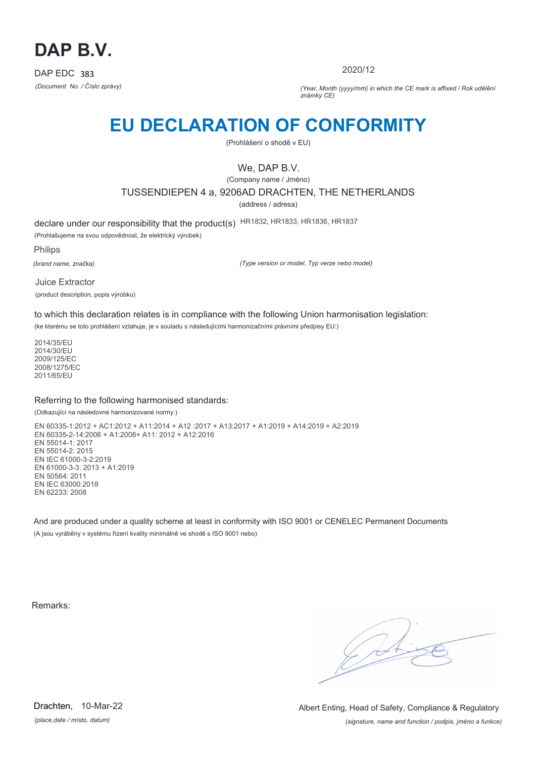

2020/12

*(Document No. / Číslo zprávy) (Year, Month (yyyy/mm) in which the CE mark is affixed / Rok udělění známky CE)*

# **EU DECLARATION OF CONFORMITY**

(Prohlášení o shodě v EU)

## We, DAP B.V.

(Company name / Jméno) TUSSENDIEPEN 4 a, 9206AD DRACHTEN, THE NETHERLANDS (address / adresa)

declare under our responsibility that the product(s) HR1832, HR1833, HR1836, HR1837

(Prohlašujeme na svou odpovědnost, že elektrický výrobek)

Philips

*(brand name, značka)*

*(Type version or model, Typ verze nebo model)*

Juice Extractor (product description, popis výrobku)

to which this declaration relates is in compliance with the following Union harmonisation legislation:

(ke kterému se toto prohlášení vztahuje, je v souladu s následujícími harmonizačními právními předpisy EU:)

2014/35/EU 2014/30/EU 2009/125/EC 2008/1275/EC 2011/65/EU

### Referring to the following harmonised standards:

(Odkazující na následovné harmonizované normy:)

EN 60335-1:2012 + AC1:2012 + A11:2014 + A12 :2017 + A13:2017 + A1:2019 + A14:2019 + A2:2019 EN 60335-2-14:2006 + A1:2008+ A11: 2012 + A12:2016 EN 55014-1: 2017 EN 55014-2: 2015 EN IEC 61000-3-2:2019 EN 61000-3-3: 2013 + A1:2019 EN 50564: 2011 EN IEC 63000:2018 EN 62233: 2008

And are produced under a quality scheme at least in conformity with ISO 9001 or CENELEC Permanent Documents (A jsou vyráběny v systému řízení kvality minimálně ve shodě s ISO 9001 nebo)

Remarks:

*(place,date / místo, datum)* Drachten, 10-Mar-22

*(signature, name and function / podpis, jméno a funkce)* Albert Enting, Head of Safety, Compliance & Regulatory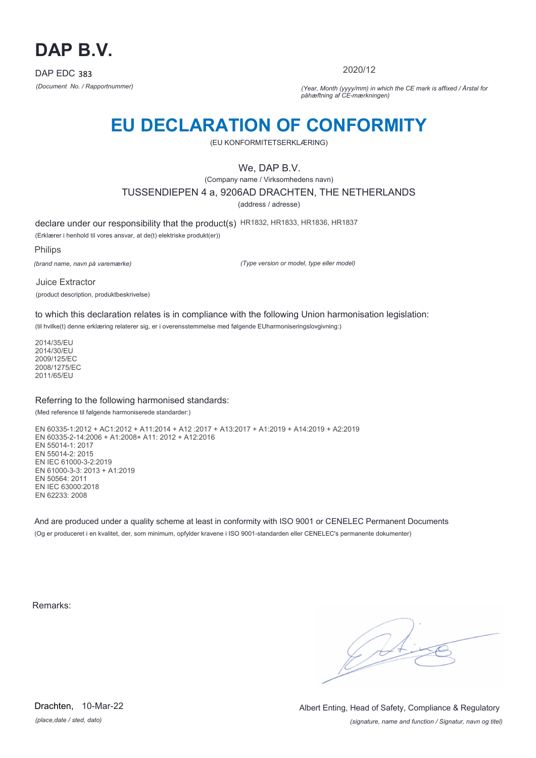

2020/12

*(Document No. / Rapportnummer) (Year, Month (yyyy/mm) in which the CE mark is affixed / Årstal for påhæftning af CE-mærkningen)*

# **EU DECLARATION OF CONFORMITY**

(EU KONFORMITETSERKLÆRING)

## We, DAP B.V.

(Company name / Virksomhedens navn) TUSSENDIEPEN 4 a, 9206AD DRACHTEN, THE NETHERLANDS

(address / adresse)

declare under our responsibility that the product(s) HR1832, HR1833, HR1836, HR1837

(Erklærer i henhold til vores ansvar, at de(t) elektriske produkt(er))

Philips

*(brand name, navn på varemærke)*

*(Type version or model, type eller model)*

Juice Extractor (product description, produktbeskrivelse)

to which this declaration relates is in compliance with the following Union harmonisation legislation:

(til hvilke(t) denne erklæring relaterer sig, er i overensstemmelse med følgende EUharmoniseringslovgivning:)

2014/35/EU 2014/30/EU 2009/125/EC 2008/1275/EC 2011/65/EU

### Referring to the following harmonised standards:

(Med reference til følgende harmoniserede standarder:)

EN 60335-1:2012 + AC1:2012 + A11:2014 + A12 :2017 + A13:2017 + A1:2019 + A14:2019 + A2:2019 EN 60335-2-14:2006 + A1:2008+ A11: 2012 + A12:2016 EN 55014-1: 2017 EN 55014-2: 2015 EN IEC 61000-3-2:2019 EN 61000-3-3: 2013 + A1:2019 EN 50564: 2011 EN IEC 63000:2018 EN 62233: 2008

And are produced under a quality scheme at least in conformity with ISO 9001 or CENELEC Permanent Documents (Og er produceret i en kvalitet, der, som minimum, opfylder kravene i ISO 9001-standarden eller CENELEC's permanente dokumenter)

Remarks:

*(place,date / sted, dato)* Drachten, 10-Mar-22

*(signature, name and function / Signatur, navn og titel)* Albert Enting, Head of Safety, Compliance & Regulatory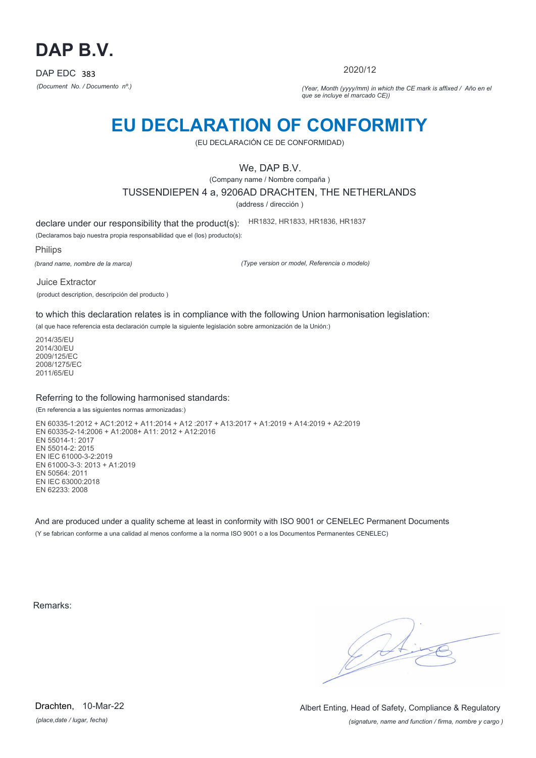

2020/12

*(Document No. / Documento nº.) (Year, Month (yyyy/mm) in which the CE mark is affixed / Año en el que se incluye el marcado CE))*

## **EU DECLARATION OF CONFORMITY**

(EU DECLARACIÓN CE DE CONFORMIDAD)

We, DAP B.V.

(Company name / Nombre compaña )

TUSSENDIEPEN 4 a, 9206AD DRACHTEN, THE NETHERLANDS

(address / dirección )

declare under our responsibility that the product(s): HR1832, HR1833, HR1836, HR1837

(Declaramos bajo nuestra propia responsabilidad que el (los) producto(s):

Philips

*(brand name, nombre de la marca)*

*(Type version or model, Referencia o modelo)*

Juice Extractor (product description, descripción del producto )

to which this declaration relates is in compliance with the following Union harmonisation legislation:

(al que hace referencia esta declaración cumple la siguiente legislación sobre armonización de la Unión:)

2014/35/EU 2014/30/EU 2009/125/EC 2008/1275/EC 2011/65/EU

### Referring to the following harmonised standards:

(En referencia a las siguientes normas armonizadas:)

EN 60335-1:2012 + AC1:2012 + A11:2014 + A12 :2017 + A13:2017 + A1:2019 + A14:2019 + A2:2019 EN 60335-2-14:2006 + A1:2008+ A11: 2012 + A12:2016 EN 55014-1: 2017 EN 55014-2: 2015 EN IEC 61000-3-2:2019 EN 61000-3-3: 2013 + A1:2019 EN 50564: 2011 EN IEC 63000:2018 EN 62233: 2008

And are produced under a quality scheme at least in conformity with ISO 9001 or CENELEC Permanent Documents (Y se fabrican conforme a una calidad al menos conforme a la norma ISO 9001 o a los Documentos Permanentes CENELEC)

Remarks:

*(place,date / lugar, fecha)* Drachten, 10-Mar-22

*(signature, name and function / firma, nombre y cargo )* Albert Enting, Head of Safety, Compliance & Regulatory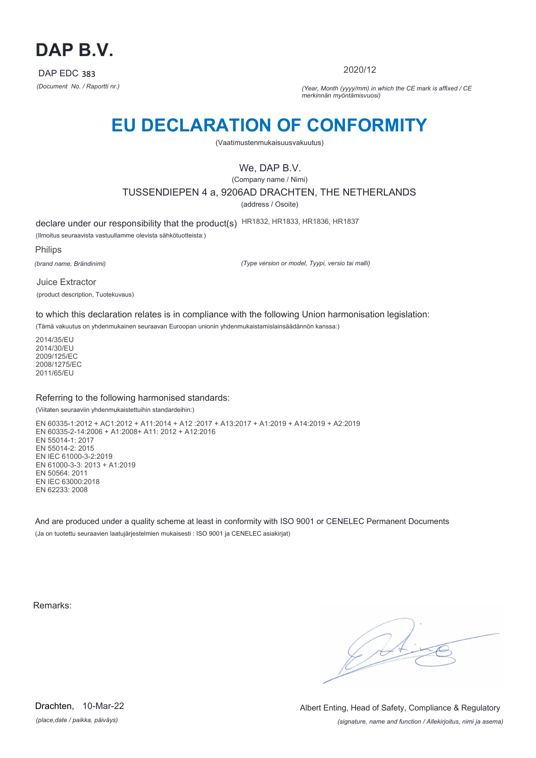

2020/12

*(Document No. / Raportti nr.) (Year, Month (yyyy/mm) in which the CE mark is affixed / CE merkinnän myöntämisvuosi)*

# **EU DECLARATION OF CONFORMITY**

(Vaatimustenmukaisuusvakuutus)

## We, DAP B.V.

(Company name / Nimi) TUSSENDIEPEN 4 a, 9206AD DRACHTEN, THE NETHERLANDS (address / Osoite)

declare under our responsibility that the product(s) HR1832, HR1833, HR1836, HR1837

(Ilmoitus seuraavista vastuullamme olevista sähkötuotteista:)

Philips

*(brand name, Brändinimi)*

*(Type version or model, Tyypi, versio tai malli)*

Juice Extractor (product description, Tuotekuvaus)

to which this declaration relates is in compliance with the following Union harmonisation legislation:

(Tämä vakuutus on yhdenmukainen seuraavan Euroopan unionin yhdenmukaistamislainsäädännön kanssa:)

2014/35/EU 2014/30/EU 2009/125/EC 2008/1275/EC 2011/65/EU

### Referring to the following harmonised standards:

(Viitaten seuraaviin yhdenmukaistettuihin standardeihin:)

EN 60335-1:2012 + AC1:2012 + A11:2014 + A12 :2017 + A13:2017 + A1:2019 + A14:2019 + A2:2019 EN 60335-2-14:2006 + A1:2008+ A11: 2012 + A12:2016 EN 55014-1: 2017 EN 55014-2: 2015 EN IEC 61000-3-2:2019 EN 61000-3-3: 2013 + A1:2019 EN 50564: 2011 EN IEC 63000:2018 EN 62233: 2008

And are produced under a quality scheme at least in conformity with ISO 9001 or CENELEC Permanent Documents (Ja on tuotettu seuraavien laatujärjestelmien mukaisesti : ISO 9001 ja CENELEC asiakirjat)

Remarks:

*(place,date / paikka, päiväys)* Drachten, 10-Mar-22

*(signature, name and function / Allekirjoitus, nimi ja asema)* Albert Enting, Head of Safety, Compliance & Regulatory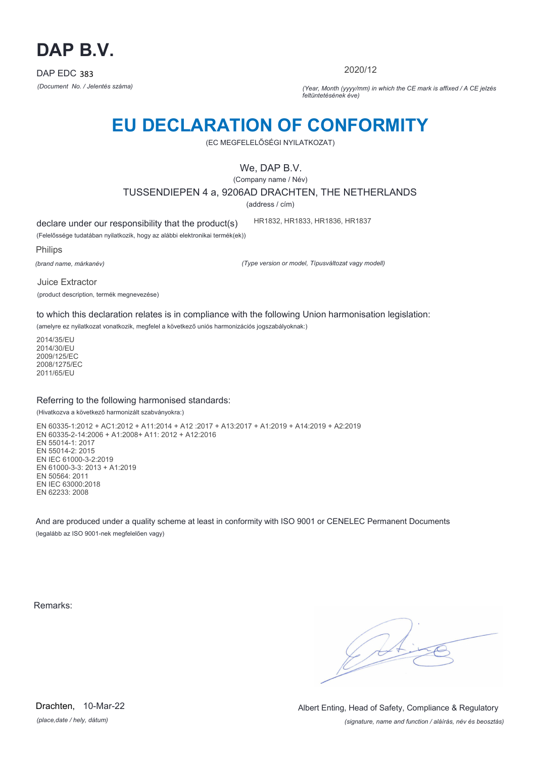

2020/12

*(Document No. / Jelentés száma) (Year, Month (yyyy/mm) in which the CE mark is affixed / A CE jelzés feltüntetésének éve)*

# **EU DECLARATION OF CONFORMITY**

(EC MEGFELELŐSÉGI NYILATKOZAT)

### We, DAP B.V.

(Company name / Név)

TUSSENDIEPEN 4 a, 9206AD DRACHTEN, THE NETHERLANDS

(address / cím)

declare under our responsibility that the product(s)

(Felelőssége tudatában nyilatkozik, hogy az alábbi elektronikai termék(ek))

Philips

*(brand name, márkanév)*

*(Type version or model, Típusváltozat vagy modell)*

HR1832, HR1833, HR1836, HR1837

Juice Extractor (product description, termék megnevezése)

to which this declaration relates is in compliance with the following Union harmonisation legislation:

(amelyre ez nyilatkozat vonatkozik, megfelel a következő uniós harmonizációs jogszabályoknak:)

2014/35/EU 2014/30/EU 2009/125/EC 2008/1275/EC 2011/65/EU

### Referring to the following harmonised standards:

(Hivatkozva a következő harmonizált szabványokra:)

EN 60335-1:2012 + AC1:2012 + A11:2014 + A12 :2017 + A13:2017 + A1:2019 + A14:2019 + A2:2019 EN 60335-2-14:2006 + A1:2008+ A11: 2012 + A12:2016 EN 55014-1: 2017 EN 55014-2: 2015 EN IEC 61000-3-2:2019 EN 61000-3-3: 2013 + A1:2019 EN 50564: 2011 EN IEC 63000:2018 EN 62233: 2008

And are produced under a quality scheme at least in conformity with ISO 9001 or CENELEC Permanent Documents (legalább az ISO 9001-nek megfelelően vagy)

Remarks:

 $\sqrt{1}$ 

*(place,date / hely, dátum)* Drachten, 10-Mar-22

*(signature, name and function / aláírás, név és beosztás)* Albert Enting, Head of Safety, Compliance & Regulatory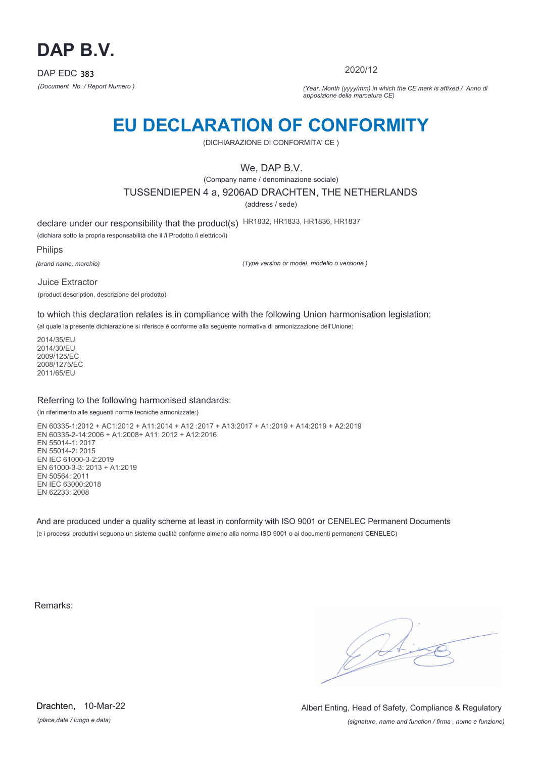

2020/12

*(Document No. / Report Numero ) (Year, Month (yyyy/mm) in which the CE mark is affixed / Anno di apposizione della marcatura CE)*

## **EU DECLARATION OF CONFORMITY**

(DICHIARAZIONE DI CONFORMITA' CE )

### We, DAP B.V.

(Company name / denominazione sociale)

TUSSENDIEPEN 4 a, 9206AD DRACHTEN, THE NETHERLANDS

(address / sede)

declare under our responsibility that the product(s) HR1832, HR1833, HR1836, HR1837

(dichiara sotto la propria responsabilità che il /i Prodotto /i elettrico/i)

Philips

*(brand name, marchio)*

*(Type version or model, modello o versione )*

Juice Extractor

(product description, descrizione del prodotto)

to which this declaration relates is in compliance with the following Union harmonisation legislation:

(al quale la presente dichiarazione si riferisce è conforme alla seguente normativa di armonizzazione dell'Unione:

2014/35/EU 2014/30/EU 2009/125/EC 2008/1275/EC 2011/65/EU

### Referring to the following harmonised standards:

(In riferimento alle seguenti norme tecniche armonizzate:)

EN 60335-1:2012 + AC1:2012 + A11:2014 + A12 :2017 + A13:2017 + A1:2019 + A14:2019 + A2:2019 EN 60335-2-14:2006 + A1:2008+ A11: 2012 + A12:2016 EN 55014-1: 2017 EN 55014-2: 2015 EN IEC 61000-3-2:2019 EN 61000-3-3: 2013 + A1:2019 EN 50564: 2011 EN IEC 63000:2018 EN 62233: 2008

And are produced under a quality scheme at least in conformity with ISO 9001 or CENELEC Permanent Documents (e i processi produttivi seguono un sistema qualità conforme almeno alla norma ISO 9001 o ai documenti permanenti CENELEC)

Remarks:

 $\sqrt{4}$ 

*(place,date / luogo e data)* Drachten, 10-Mar-22

*(signature, name and function / firma , nome e funzione)* Albert Enting, Head of Safety, Compliance & Regulatory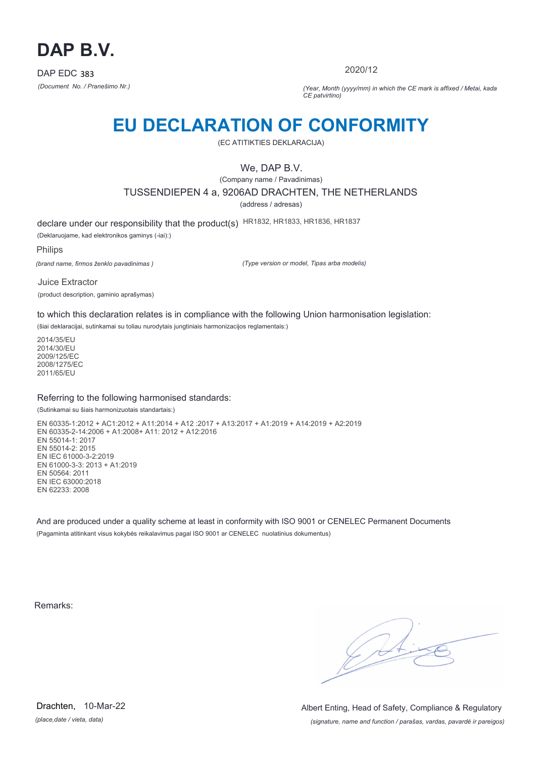

2020/12

*(Document No. / Pranešimo Nr.) (Year, Month (yyyy/mm) in which the CE mark is affixed / Metai, kada CE patvirtino)*

## **EU DECLARATION OF CONFORMITY**

(EC ATITIKTIES DEKLARACIJA)

We, DAP B.V.

(Company name / Pavadinimas) TUSSENDIEPEN 4 a, 9206AD DRACHTEN, THE NETHERLANDS

(address / adresas)

declare under our responsibility that the product(s) HR1832, HR1833, HR1836, HR1837

(Deklaruojame, kad elektronikos gaminys (-iai):)

Philips

*(brand name, firmos ženklo pavadinimas )*

*(Type version or model, Tipas arba modelis)*

Juice Extractor (product description, gaminio aprašymas)

to which this declaration relates is in compliance with the following Union harmonisation legislation:

(šiai deklaracijai, sutinkamai su toliau nurodytais jungtiniais harmonizacijos reglamentais:)

2014/35/EU 2014/30/EU 2009/125/EC 2008/1275/EC 2011/65/EU

### Referring to the following harmonised standards:

(Sutinkamai su šiais harmonizuotais standartais:)

EN 60335-1:2012 + AC1:2012 + A11:2014 + A12 :2017 + A13:2017 + A1:2019 + A14:2019 + A2:2019 EN 60335-2-14:2006 + A1:2008+ A11: 2012 + A12:2016 EN 55014-1: 2017 EN 55014-2: 2015 EN IEC 61000-3-2:2019 EN 61000-3-3: 2013 + A1:2019 EN 50564: 2011 EN IEC 63000:2018 EN 62233: 2008

And are produced under a quality scheme at least in conformity with ISO 9001 or CENELEC Permanent Documents (Pagaminta atitinkant visus kokybės reikalavimus pagal ISO 9001 ar CENELEC nuolatinius dokumentus)

Remarks:

 $\sqrt{4}$ 

*(place,date / vieta, data)* Drachten, 10-Mar-22

*(signature, name and function / parašas, vardas, pavardė ir pareigos)* Albert Enting, Head of Safety, Compliance & Regulatory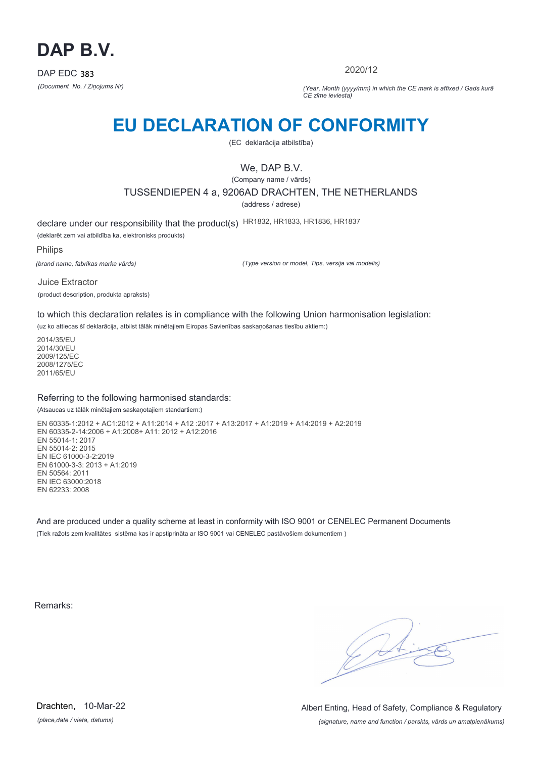

2020/12

*(Document No. / Ziņojums Nr) (Year, Month (yyyy/mm) in which the CE mark is affixed / Gads kurā CE zīme ieviesta)*

## **EU DECLARATION OF CONFORMITY**

(EC deklarācija atbilstība)

## We, DAP B.V.

(Company name / vārds)

TUSSENDIEPEN 4 a, 9206AD DRACHTEN, THE NETHERLANDS

(address / adrese)

declare under our responsibility that the product(s) HR1832, HR1833, HR1836, HR1837

(deklarēt zem vai atbildība ka, elektronisks produkts)

Philips

*(brand name, fabrikas marka vārds)*

*(Type version or model, Tips, versija vai modelis)*

Juice Extractor (product description, produkta apraksts)

to which this declaration relates is in compliance with the following Union harmonisation legislation:

(uz ko attiecas šī deklarācija, atbilst tālāk minētajiem Eiropas Savienības saskaņošanas tiesību aktiem:)

2014/35/EU 2014/30/EU 2009/125/EC 2008/1275/EC 2011/65/EU

### Referring to the following harmonised standards:

(Atsaucas uz tālāk minētajiem saskaņotajiem standartiem:)

EN 60335-1:2012 + AC1:2012 + A11:2014 + A12 :2017 + A13:2017 + A1:2019 + A14:2019 + A2:2019 EN 60335-2-14:2006 + A1:2008+ A11: 2012 + A12:2016 EN 55014-1: 2017 EN 55014-2: 2015 EN IEC 61000-3-2:2019 EN 61000-3-3: 2013 + A1:2019 EN 50564: 2011 EN IEC 63000:2018 EN 62233: 2008

And are produced under a quality scheme at least in conformity with ISO 9001 or CENELEC Permanent Documents (Tiek ražots zem kvalitātes sistēma kas ir apstiprināta ar ISO 9001 vai CENELEC pastāvošiem dokumentiem )

Remarks:

 $\sqrt{4}$ 

*(place,date / vieta, datums)* Drachten, 10-Mar-22

*(signature, name and function / parskts, vārds un amatpienākums)* Albert Enting, Head of Safety, Compliance & Regulatory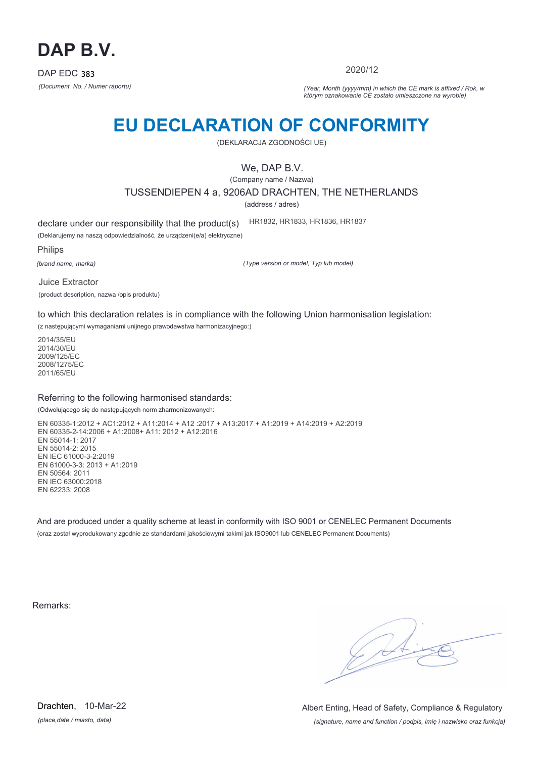

2020/12

*(Document No. / Numer raportu) (Year, Month (yyyy/mm) in which the CE mark is affixed / Rok, w którym oznakowanie CE zostało umieszczone na wyrobie)*

# **EU DECLARATION OF CONFORMITY**

(DEKLARACJA ZGODNOŚCI UE)

We, DAP B.V.

(Company name / Nazwa)

TUSSENDIEPEN 4 a, 9206AD DRACHTEN, THE NETHERLANDS

(address / adres)

declare under our responsibility that the product(s)

(Deklarujemy na naszą odpowiedzialność, że urządzeni(e/a) elektryczne)

Philips

*(brand name, marka)*

*(Type version or model, Typ lub model)*

HR1832, HR1833, HR1836, HR1837

Juice Extractor (product description, nazwa /opis produktu)

to which this declaration relates is in compliance with the following Union harmonisation legislation:

(z następującymi wymaganiami unijnego prawodawstwa harmonizacyjnego:)

2014/35/EU 2014/30/EU 2009/125/EC 2008/1275/EC 2011/65/EU

### Referring to the following harmonised standards:

(Odwołującego się do następujących norm zharmonizowanych:

EN 60335-1:2012 + AC1:2012 + A11:2014 + A12 :2017 + A13:2017 + A1:2019 + A14:2019 + A2:2019 EN 60335-2-14:2006 + A1:2008+ A11: 2012 + A12:2016 EN 55014-1: 2017 EN 55014-2: 2015 EN IEC 61000-3-2:2019 EN 61000-3-3: 2013 + A1:2019 EN 50564: 2011 EN IEC 63000:2018 EN 62233: 2008

And are produced under a quality scheme at least in conformity with ISO 9001 or CENELEC Permanent Documents (oraz został wyprodukowany zgodnie ze standardami jakościowymi takimi jak ISO9001 lub CENELEC Permanent Documents)

Remarks:

*(place,date / miasto, data)* Drachten, 10-Mar-22

*(signature, name and function / podpis, imię i nazwisko oraz funkcja)* Albert Enting, Head of Safety, Compliance & Regulatory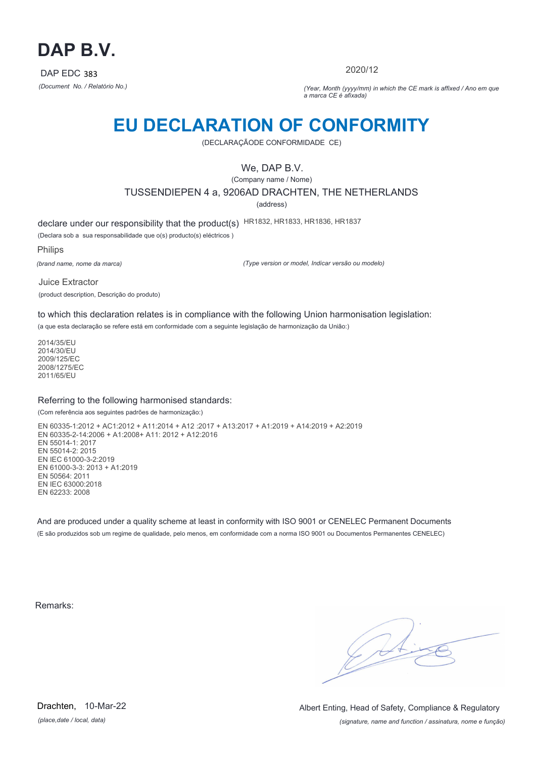

2020/12

*(Document No. / Relatório No.) (Year, Month (yyyy/mm) in which the CE mark is affixed / Ano em que a marca CE é afixada)*

## **EU DECLARATION OF CONFORMITY**

(DECLARAÇÃODE CONFORMIDADE CE)

### We, DAP B.V.

(Company name / Nome) TUSSENDIEPEN 4 a, 9206AD DRACHTEN, THE NETHERLANDS

(address)

declare under our responsibility that the product(s) HR1832, HR1833, HR1836, HR1837

(Declara sob a sua responsabilidade que o(s) producto(s) eléctricos )

Philips

*(brand name, nome da marca)*

*(Type version or model, Indicar versão ou modelo)*

Juice Extractor (product description, Descrição do produto)

to which this declaration relates is in compliance with the following Union harmonisation legislation:

(a que esta declaração se refere está em conformidade com a seguinte legislação de harmonização da União:)

2014/35/EU 2014/30/EU 2009/125/EC 2008/1275/EC 2011/65/EU

### Referring to the following harmonised standards:

(Com referência aos seguintes padrões de harmonização:)

EN 60335-1:2012 + AC1:2012 + A11:2014 + A12 :2017 + A13:2017 + A1:2019 + A14:2019 + A2:2019 EN 60335-2-14:2006 + A1:2008+ A11: 2012 + A12:2016 EN 55014-1: 2017 EN 55014-2: 2015 EN IEC 61000-3-2:2019 EN 61000-3-3: 2013 + A1:2019 EN 50564: 2011 EN IEC 63000:2018 EN 62233: 2008

And are produced under a quality scheme at least in conformity with ISO 9001 or CENELEC Permanent Documents (E são produzidos sob um regime de qualidade, pelo menos, em conformidade com a norma ISO 9001 ou Documentos Permanentes CENELEC)

Remarks:

*(place,date / local, data)* Drachten, 10-Mar-22

*(signature, name and function / assinatura, nome e função)* Albert Enting, Head of Safety, Compliance & Regulatory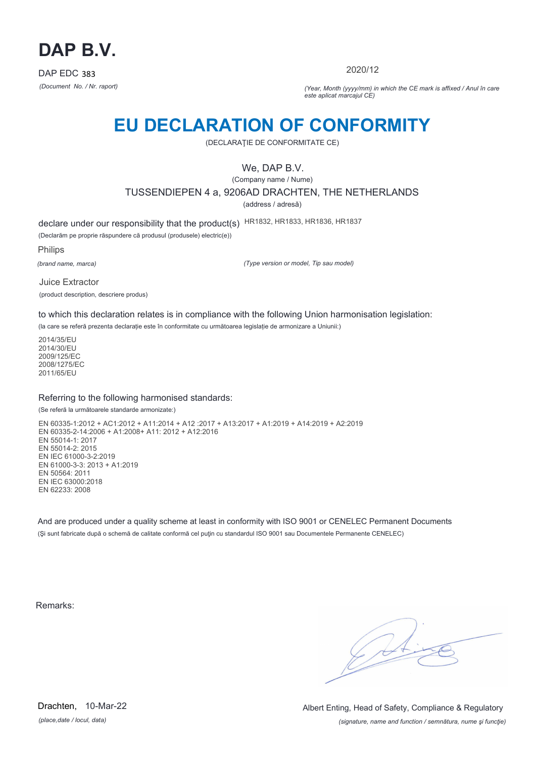

2020/12

*(Document No. / Nr. raport) (Year, Month (yyyy/mm) in which the CE mark is affixed / Anul în care este aplicat marcajul CE)*

## **EU DECLARATION OF CONFORMITY**

(DECLARAŢIE DE CONFORMITATE CE)

### We, DAP B.V.

(Company name / Nume)

TUSSENDIEPEN 4 a, 9206AD DRACHTEN, THE NETHERLANDS

(address / adresă)

declare under our responsibility that the product(s) HR1832, HR1833, HR1836, HR1837

(Declarăm pe proprie răspundere că produsul (produsele) electric(e))

Philips

*(brand name, marca)*

*(Type version or model, Tip sau model)*

Juice Extractor (product description, descriere produs)

to which this declaration relates is in compliance with the following Union harmonisation legislation:

(la care se referă prezenta declarație este în conformitate cu următoarea legislație de armonizare a Uniunii:)

2014/35/EU 2014/30/EU 2009/125/EC 2008/1275/EC 2011/65/EU

### Referring to the following harmonised standards:

(Se referă la următoarele standarde armonizate:)

EN 60335-1:2012 + AC1:2012 + A11:2014 + A12 :2017 + A13:2017 + A1:2019 + A14:2019 + A2:2019 EN 60335-2-14:2006 + A1:2008+ A11: 2012 + A12:2016 EN 55014-1: 2017 EN 55014-2: 2015 EN IEC 61000-3-2:2019 EN 61000-3-3: 2013 + A1:2019 EN 50564: 2011 EN IEC 63000:2018 EN 62233: 2008

And are produced under a quality scheme at least in conformity with ISO 9001 or CENELEC Permanent Documents (Şi sunt fabricate după o schemă de calitate conformă cel puţin cu standardul ISO 9001 sau Documentele Permanente CENELEC)

Remarks:

*(place,date / locul, data)* Drachten, 10-Mar-22

*(signature, name and function / semnătura, nume şi funcţie)* Albert Enting, Head of Safety, Compliance & Regulatory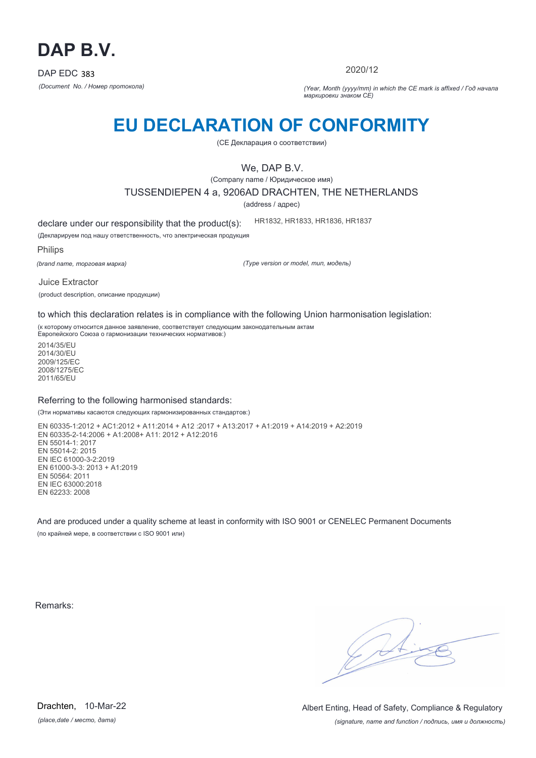

2020/12

*(Document No. / Номер протокола) (Year, Month (yyyy/mm) in which the CE mark is affixed / Год начала маркировки знаком CE)*

# **EU DECLARATION OF CONFORMITY**

(CE Декларация о соответствии)

We, DAP B.V.

(Company name / Юридическое имя)

TUSSENDIEPEN 4 a, 9206AD DRACHTEN, THE NETHERLANDS

(address / адрес)

declare under our responsibility that the product(s): HR1832, HR1833, HR1836, HR1837

(Декларируем под нашу ответственность, что электрическая продукция

Philips

*(brand name, торговая марка)*

*(Type version or model, тип, модель)*

Juice Extractor (product description, описание продукции)

to which this declaration relates is in compliance with the following Union harmonisation legislation:

(к которому относится данное заявление, соответствует следующим законодательным актам Европейского Союза о гармонизации технических нормативов:)

2014/35/EU 2014/30/EU 2009/125/EC 2008/1275/EC 2011/65/EU

### Referring to the following harmonised standards:

(Эти нормативы касаются следующих гармонизированных стандартов:)

EN 60335-1:2012 + AC1:2012 + A11:2014 + A12 :2017 + A13:2017 + A1:2019 + A14:2019 + A2:2019 EN 60335-2-14:2006 + A1:2008+ A11: 2012 + A12:2016 EN 55014-1: 2017 EN 55014-2: 2015 EN IEC 61000-3-2:2019 EN 61000-3-3: 2013 + A1:2019 EN 50564: 2011 EN IEC 63000:2018 EN 62233: 2008

And are produced under a quality scheme at least in conformity with ISO 9001 or CENELEC Permanent Documents (по крайней мере, в соответствии с ISO 9001 или)

Remarks:

 $\sqrt{14}$ 

*(place,date / место, дата)* Drachten, 10-Mar-22

*(signature, name and function / подпись, имя и должность)* Albert Enting, Head of Safety, Compliance & Regulatory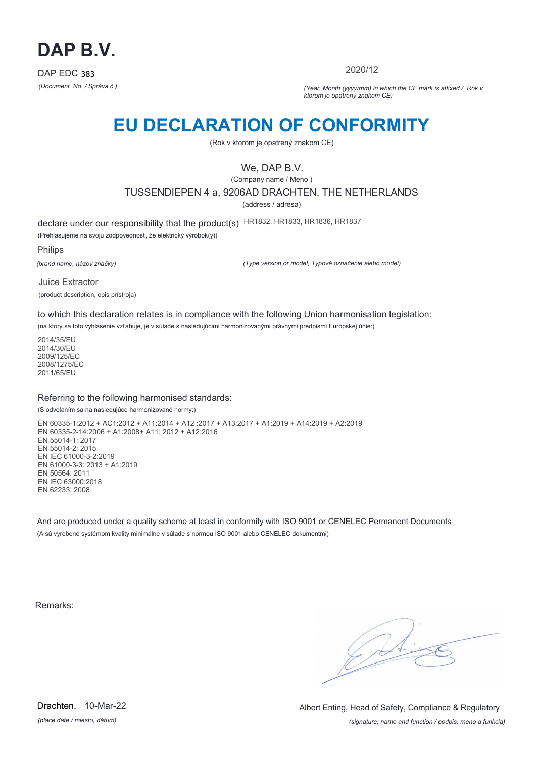

2020/12

*(Document No. / Správa č.) (Year, Month (yyyy/mm) in which the CE mark is affixed / Rok v ktorom je opatrený znakom CE)*

## **EU DECLARATION OF CONFORMITY**

(Rok v ktorom je opatrený znakom CE)

### We, DAP B.V.

(Company name / Meno )

TUSSENDIEPEN 4 a, 9206AD DRACHTEN, THE NETHERLANDS

(address / adresa)

declare under our responsibility that the product(s) HR1832, HR1833, HR1836, HR1837

(Prehlasujeme na svoju zodpovednosť, že elektrický výrobok(y))

Philips

*(brand name, názov značky)*

*(Type version or model, Typové označenie alebo model)*

Juice Extractor (product description, opis prístroja)

to which this declaration relates is in compliance with the following Union harmonisation legislation:

(na ktorý sa toto vyhlásenie vzťahuje, je v súlade s nasledujúcimi harmonizovanými právnymi predpismi Európskej únie:)

2014/35/EU 2014/30/EU 2009/125/EC 2008/1275/EC 2011/65/EU

### Referring to the following harmonised standards:

(S odvolaním sa na nasledujúce harmonizované normy:)

EN 60335-1:2012 + AC1:2012 + A11:2014 + A12 :2017 + A13:2017 + A1:2019 + A14:2019 + A2:2019 EN 60335-2-14:2006 + A1:2008+ A11: 2012 + A12:2016 EN 55014-1: 2017 EN 55014-2: 2015 EN IEC 61000-3-2:2019 EN 61000-3-3: 2013 + A1:2019 EN 50564: 2011 EN IEC 63000:2018 EN 62233: 2008

And are produced under a quality scheme at least in conformity with ISO 9001 or CENELEC Permanent Documents (A sú vyrobené systémom kvality minimálne v súlade s normou ISO 9001 alebo CENELEC dokumentmi)

Remarks:

 $\sqrt{14}$ 

*(place,date / miesto, dátum)* Drachten, 10-Mar-22

*(signature, name and function / podpis, meno a funkcia)* Albert Enting, Head of Safety, Compliance & Regulatory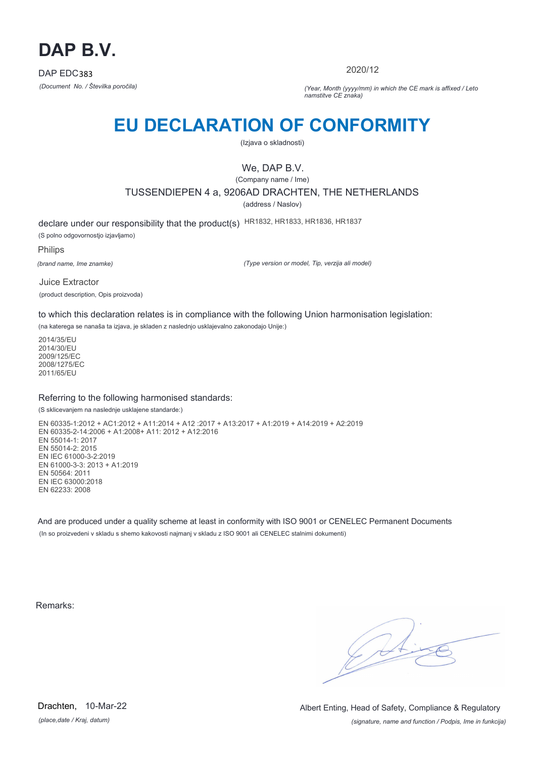

2020/12

*(Document No. / Številka poročila) (Year, Month (yyyy/mm) in which the CE mark is affixed / Leto namstitve CE znaka)*

# **EU DECLARATION OF CONFORMITY**

(Izjava o skladnosti)

## We, DAP B.V.

(Company name / Ime)

TUSSENDIEPEN 4 a, 9206AD DRACHTEN, THE NETHERLANDS

(address / Naslov)

declare under our responsibility that the product(s) HR1832, HR1833, HR1836, HR1837 (S polno odgovornostjo izjavljamo)

Philips

*(brand name, Ime znamke)*

*(Type version or model, Tip, verzija ali model)*

Juice Extractor (product description, Opis proizvoda)

to which this declaration relates is in compliance with the following Union harmonisation legislation:

(na katerega se nanaša ta izjava, je skladen z naslednjo usklajevalno zakonodajo Unije:)

2014/35/EU 2014/30/EU 2009/125/EC 2008/1275/EC 2011/65/EU

### Referring to the following harmonised standards:

(S sklicevanjem na naslednje usklajene standarde:)

EN 60335-1:2012 + AC1:2012 + A11:2014 + A12 :2017 + A13:2017 + A1:2019 + A14:2019 + A2:2019 EN 60335-2-14:2006 + A1:2008+ A11: 2012 + A12:2016 EN 55014-1: 2017 EN 55014-2: 2015 EN IEC 61000-3-2:2019 EN 61000-3-3: 2013 + A1:2019 EN 50564: 2011 EN IEC 63000:2018 EN 62233: 2008

And are produced under a quality scheme at least in conformity with ISO 9001 or CENELEC Permanent Documents (In so proizvedeni v skladu s shemo kakovosti najmanj v skladu z ISO 9001 ali CENELEC stalnimi dokumenti)

Remarks:

*(place,date / Kraj, datum)* Drachten, 10-Mar-22

*(signature, name and function / Podpis, Ime in funkcija)* Albert Enting, Head of Safety, Compliance & Regulatory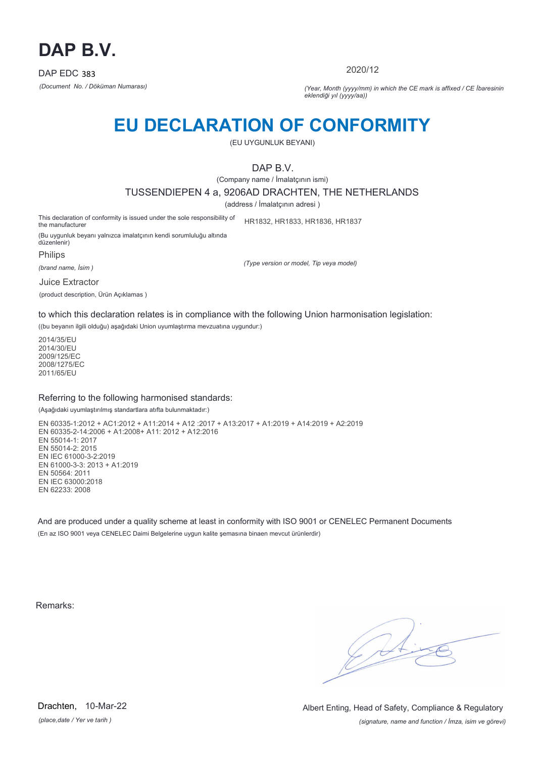

2020/12

*(Document No. / Döküman Numarası) (Year, Month (yyyy/mm) in which the CE mark is affixed / CE İbaresinin eklendiği yıl (yyyy/aa))*

## **EU DECLARATION OF CONFORMITY**

(EU UYGUNLUK BEYANI)

DAP B.V.

(Company name / İmalatçının ismi)

TUSSENDIEPEN 4 a, 9206AD DRACHTEN, THE NETHERLANDS

(address / İmalatçının adresi )

This declaration of conformity is issued under the sole responsibility of the manufacturer HR1832, HR1833, HR1836, HR1837

(Bu uygunluk beyanı yalnızca imalatçının kendi sorumluluğu altında düzenlenir)

Philips

*(brand name, İsim )*

Juice Extractor

(product description, Ürün Açıklamas )

*(Type version or model, Tip veya model)*

to which this declaration relates is in compliance with the following Union harmonisation legislation:

((bu beyanın ilgili olduğu) aşağıdaki Union uyumlaştırma mevzuatına uygundur:)

2014/35/EU 2014/30/EU 2009/125/EC 2008/1275/EC 2011/65/EU

### Referring to the following harmonised standards:

(Aşağıdaki uyumlaştırılmış standartlara atıfta bulunmaktadır:)

EN 60335-1:2012 + AC1:2012 + A11:2014 + A12 :2017 + A13:2017 + A1:2019 + A14:2019 + A2:2019 EN 60335-2-14:2006 + A1:2008+ A11: 2012 + A12:2016 EN 55014-1: 2017 EN 55014-2: 2015 EN IEC 61000-3-2:2019 EN 61000-3-3: 2013 + A1:2019 EN 50564: 2011 EN IEC 63000:2018 EN 62233: 2008

And are produced under a quality scheme at least in conformity with ISO 9001 or CENELEC Permanent Documents (En az ISO 9001 veya CENELEC Daimi Belgelerine uygun kalite şemasına binaen mevcut ürünlerdir)

Remarks:

*(place,date / Yer ve tarih )* Drachten, 10-Mar-22

*(signature, name and function / İmza, isim ve görevi)* Albert Enting, Head of Safety, Compliance & Regulatory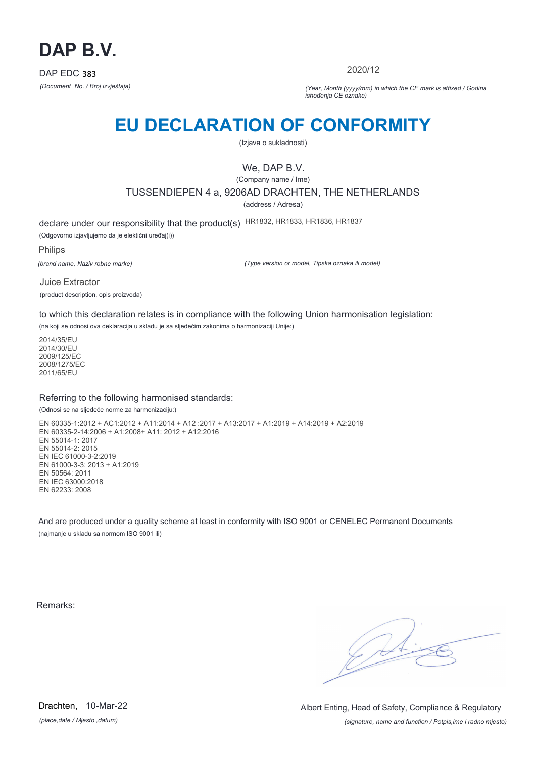

2020/12

*(Document No. / Broj izvještaja) (Year, Month (yyyy/mm) in which the CE mark is affixed / Godina ishođenja CE oznake)*

# **EU DECLARATION OF CONFORMITY**

(Izjava o sukladnosti)

## We, DAP B.V.

(Company name / Ime) TUSSENDIEPEN 4 a, 9206AD DRACHTEN, THE NETHERLANDS

(address / Adresa)

declare under our responsibility that the product(s) HR1832, HR1833, HR1836, HR1837

(Odgovorno izjavljujemo da je elektični uređaj(i))

Philips

*(brand name, Naziv robne marke)*

*(Type version or model, Tipska oznaka ili model)*

Juice Extractor (product description, opis proizvoda)

to which this declaration relates is in compliance with the following Union harmonisation legislation:

(na koji se odnosi ova deklaracija u skladu je sa sljedećim zakonima o harmonizaciji Unije:)

2014/35/EU 2014/30/EU 2009/125/EC 2008/1275/EC 2011/65/EU

### Referring to the following harmonised standards:

(Odnosi se na sljedeće norme za harmonizaciju:)

EN 60335-1:2012 + AC1:2012 + A11:2014 + A12 :2017 + A13:2017 + A1:2019 + A14:2019 + A2:2019 EN 60335-2-14:2006 + A1:2008+ A11: 2012 + A12:2016 EN 55014-1: 2017 EN 55014-2: 2015 EN IEC 61000-3-2:2019 EN 61000-3-3: 2013 + A1:2019 EN 50564: 2011 EN IEC 63000:2018 EN 62233: 2008

And are produced under a quality scheme at least in conformity with ISO 9001 or CENELEC Permanent Documents (najmanje u skladu sa normom ISO 9001 ili)

Remarks:

*(place,date / Mjesto ,datum)* Drachten, 10-Mar-22

*(signature, name and function / Potpis,ime i radno mjesto)* Albert Enting, Head of Safety, Compliance & Regulatory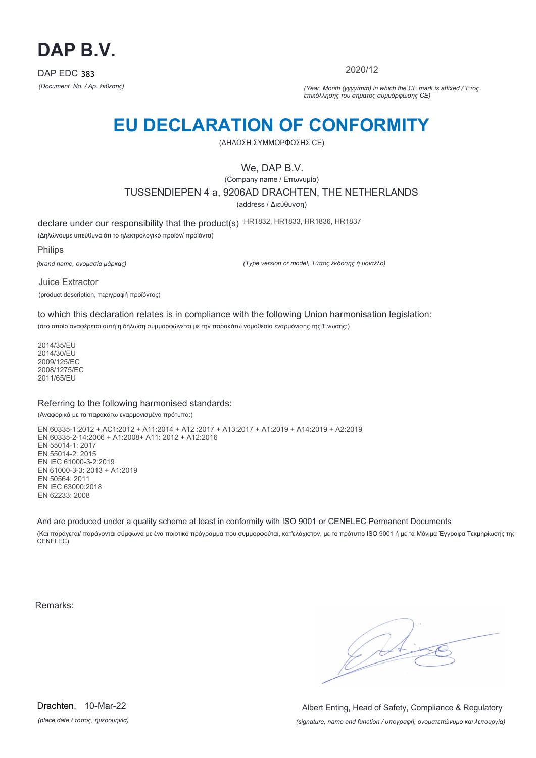

2020/12

*(Document No. / Αρ. έκθεσης) (Year, Month (yyyy/mm) in which the CE mark is affixed / Έτος επικόλλησης του σήματος συμμόρφωσης CE)*

## **EU DECLARATION OF CONFORMITY**

(ΔΗΛΩΣΗ ΣΥΜΜΟΡΦΩΣΗΣ CE)

We, DAP B.V.

(Company name / Επωνυμία) TUSSENDIEPEN 4 a, 9206AD DRACHTEN, THE NETHERLANDS (address / Διεύθυνση)

declare under our responsibility that the product(s) HR1832, HR1833, HR1836, HR1837

(Δηλώνουμε υπεύθυνα ότι το ηλεκτρολογικό προϊόν/ προϊόντα)

Philips

*(brand name, ονομασία μάρκας)*

*(Type version or model, Τύπος έκδοσης ή μοντέλο)*

Juice Extractor (product description, περιγραφή προϊόντος)

to which this declaration relates is in compliance with the following Union harmonisation legislation:

(στο οποίο αναφέρεται αυτή η δήλωση συμμορφώνεται με την παρακάτω νομοθεσία εναρμόνισης της Ένωσης:)

2014/35/EU 2014/30/EU 2009/125/EC 2008/1275/EC 2011/65/EU

### Referring to the following harmonised standards:

(Αναφορικά με τα παρακάτω εναρμονισμένα πρότυπα:)

EN 60335-1:2012 + AC1:2012 + A11:2014 + A12 :2017 + A13:2017 + A1:2019 + A14:2019 + A2:2019 EN 60335-2-14:2006 + A1:2008+ A11: 2012 + A12:2016 EN 55014-1: 2017 EN 55014-2: 2015 EN IEC 61000-3-2:2019 EN 61000-3-3: 2013 + A1:2019 EN 50564: 2011 EN IEC 63000:2018 EN 62233: 2008

And are produced under a quality scheme at least in conformity with ISO 9001 or CENELEC Permanent Documents

(Και παράγεται/ παράγονται σύμφωνα με ένα ποιοτικό πρόγραμμα που συμμορφούται, κατ'ελάχιστον, με το πρότυπο ISO 9001 ή με τα Μόνιμα Έγγραφα Τεκμηρίωσης της CENELEC)

Remarks:

*(place,date / τόπος, ημερομηνία)* Drachten, 10-Mar-22

*(signature, name and function / υπογραφή, ονοματεπώνυμο και λειτουργία)* Albert Enting, Head of Safety, Compliance & Regulatory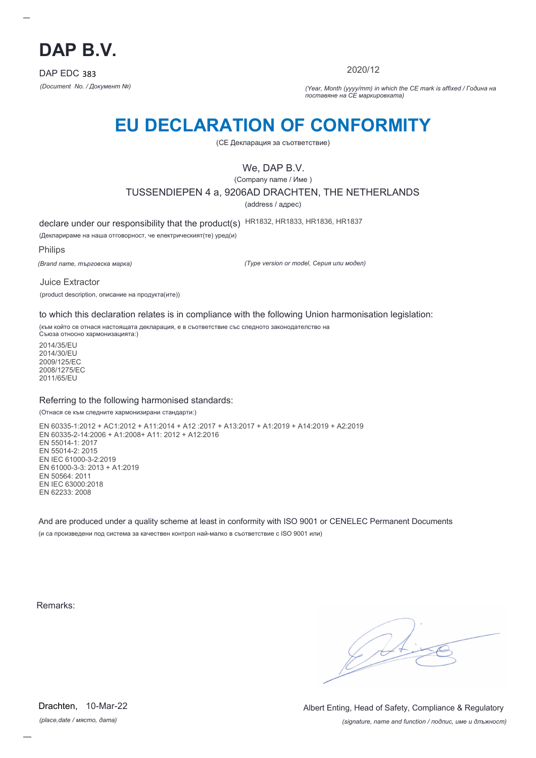

2020/12

*(Document No. / Документ №) (Year, Month (yyyy/mm) in which the CE mark is affixed / Година на поставяне на CE маркировката)*

# **EU DECLARATION OF CONFORMITY**

(CE Декларация за съответствие)

## We, DAP B.V.

(Company name / Име )

TUSSENDIEPEN 4 a, 9206AD DRACHTEN, THE NETHERLANDS

(address / адрес)

declare under our responsibility that the product(s) HR1832, HR1833, HR1836, HR1837

(Декларираме на наша отговорност, че електрическият(те) уред(и)

Philips

*(Brand name, търговска марка)*

*(Type version or model, Серия или модел)*

Juice Extractor (product description, описание на продукта(ите))

to which this declaration relates is in compliance with the following Union harmonisation legislation:

(към който се отнася настоящата декларация, е в съответствие със следното законодателство на Съюза относно хармонизацията:)

2014/35/EU 2014/30/EU 2009/125/EC 2008/1275/EC 2011/65/EU

### Referring to the following harmonised standards:

(Отнася се към следните хармонизирани стандарти:)

EN 60335-1:2012 + AC1:2012 + A11:2014 + A12 :2017 + A13:2017 + A1:2019 + A14:2019 + A2:2019 EN 60335-2-14:2006 + A1:2008+ A11: 2012 + A12:2016 EN 55014-1: 2017 EN 55014-2: 2015 EN IEC 61000-3-2:2019 EN 61000-3-3: 2013 + A1:2019 EN 50564: 2011 EN IEC 63000:2018 EN 62233: 2008

And are produced under a quality scheme at least in conformity with ISO 9001 or CENELEC Permanent Documents (и са произведени под система за качествен контрол най-малко в съответствие с ISO 9001 или)

Remarks:

*(place,date / място, дата)* Drachten, 10-Mar-22

*(signature, name and function / подпис, име и длъжност)* Albert Enting, Head of Safety, Compliance & Regulatory